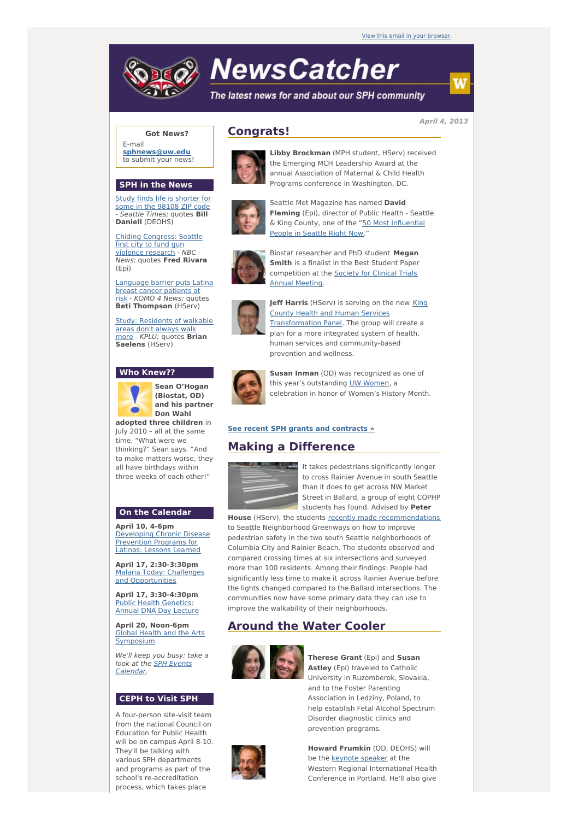

# **NewsCatcher**

The latest news for and about our SPH community

**April 4, 2013**

## **Got News?**

E-mail **[sphnews@uw.edu](mailto:sphnews@uw.edu)** to submit your news!

### **SPH in the News**

Study finds life is [shorter](http://engage.washington.edu/site/R?i=FXHpsW5EFb5QduQuqRyjpg) for some in the 98108 ZIP code - Seattle Times; quotes **Bill Daniell** (DEOHS)

Chiding [Congress:](http://engage.washington.edu/site/R?i=xQf9H2J7-zZ280W0_H5-kQ) Seattle first city to fund gun violence research - NBC News; quotes **Fred Rivara** (Epi)

anguage barrier puts Latina breast cancer patients at risk - KOMO 4 News; quotes **Beti Thompson** (HServ)

Study: [Residents](http://engage.washington.edu/site/R?i=HRN5LRflyg5VgPyQoogglA) of walkable areas don't always walk more - KPLU; quotes **Brian Saelens** (HServ)

## **Who Knew??**



**Sean O'Hogan (Biostat, OD) and his partner**

**adopted three children** in July 2010 – all at the same time. "What were we thinking?" Sean says. "And to make matters worse, they all have birthdays within three weeks of each other!"

# **On the Calendar**

**April 10, 4-6pm** [Developing](http://engage.washington.edu/site/R?i=X-DpVQpGys3Y2G7Ywo8tXw) Chronic Disease Prevention Programs for Latinas: Lessons Learned

**April 17, 2:30-3:30pm** Malaria Today: Challenges and [Opportunities](http://engage.washington.edu/site/R?i=3UKtvDD_0Alaj9iebnWIgA)

**April 17, 3:30-4:30pm** Public Health [Genetics:](http://engage.washington.edu/site/R?i=W830VuOInkFba5AzuNHhUw) Annual DNA Day Lecture

**April 20, Noon-6pm** Global Health and the Arts [Symposium](http://engage.washington.edu/site/R?i=eVxWLlMwXhDMoupmDOvrmQ)

We'll keep you busy: take a look at the **SPH Events** [Calendar.](http://engage.washington.edu/site/R?i=VnjPxXxScxBEWoqgvxDJHA)

## **CEPH to Visit SPH**

A four-person site-visit team from the national Council on Education for Public Health will be on campus April 8-10. They'll be talking with various SPH departments and programs as part of the school's re-accreditation process, which takes place



**Congrats!**

**Libby Brockman** (MPH student, HServ) received the Emerging MCH Leadership Award at the annual Association of Maternal & Child Health Programs conference in Washington, DC.



Seattle Met Magazine has named **David Fleming** (Epi), director of Public Health - Seattle & King County, one of the "50 Most [Influential](http://engage.washington.edu/site/R?i=g-WIWEZfr3bJ8MVIALF9eQ) People in Seattle Right Now."



Biostat researcher and PhD student **Megan Smith** is a finalist in the Best Student Paper [competition](http://engage.washington.edu/site/R?i=wT-nnrNUSGdNtTkarf-VHw) at the Society for Clinical Trials Annual Meeting.



**Jeff Harris** (HServ) is serving on the new King County Health and Human Services [Transformation](http://engage.washington.edu/site/R?i=9yBKT_Vna0IstGl2V0-7AA) Panel. The group will create a plan for a more integrated system of health, human services and community-based prevention and wellness.



**Susan Inman** (OD) was recognized as one of this year's outstanding UW [Women](http://engage.washington.edu/site/R?i=tYhcfr4DTTzXM4sEoxhQ1Q), a celebration in honor of Women's History Month.

## **See recent SPH grants and [contracts](http://engage.washington.edu/site/R?i=2SUO5omZ8Rs4SEMfNGjpVg) »**

# **Making a Difference**



It takes pedestrians significantly longer to cross Rainier Avenue in south Seattle than it does to get across NW Market Street in Ballard, a group of eight COPHP students has found. Advised by **Peter**

House (HServ), the students recently made [recommendations](http://engage.washington.edu/site/R?i=QzwYnLZK3zKsdYFRt-EJRQ) to Seattle Neighborhood Greenways on how to improve pedestrian safety in the two south Seattle neighborhoods of Columbia City and Rainier Beach. The students observed and compared crossing times at six intersections and surveyed more than 100 residents. Among their findings: People had significantly less time to make it across Rainier Avenue before the lights changed compared to the Ballard intersections. The communities now have some primary data they can use to improve the walkability of their neighborhoods.

# **Around the Water Cooler**



**Therese Grant** (Epi) and **Susan Astley** (Epi) traveled to Catholic University in Ruzomberok, Slovakia, and to the Foster Parenting Association in Ledziny, Poland, to help establish Fetal Alcohol Spectrum Disorder diagnostic clinics and prevention programs.



**Howard Frumkin** (OD, DEOHS) will be the [keynote](http://engage.washington.edu/site/R?i=6K4afcASGFcoN85NM4kO-w) speaker at the Western Regional International Health Conference in Portland. He'll also give

w